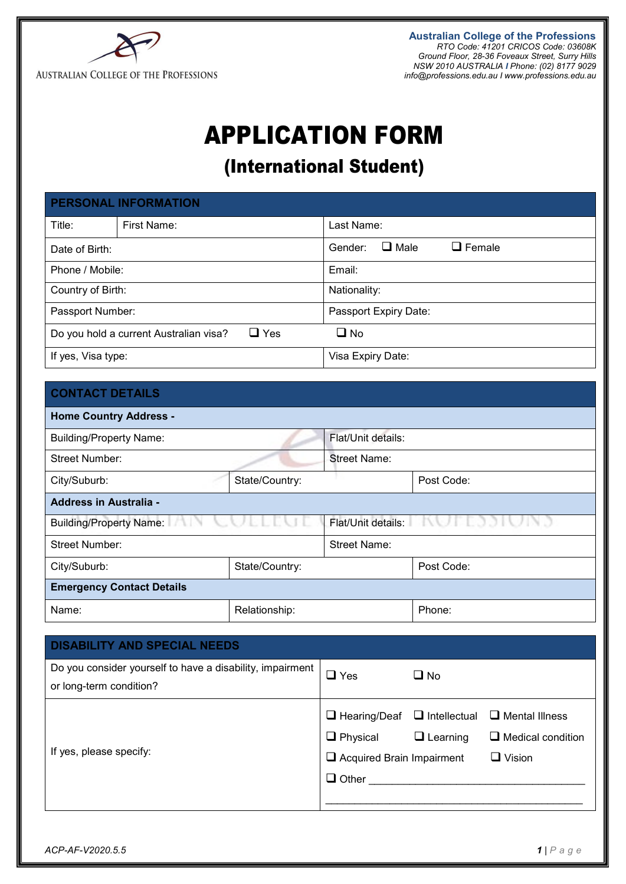

**Australian College of the Professions** *RTO Code: 41201 CRICOS Code: 03608K Ground Floor, 28-36 Foveaux Street, Surry Hills NSW 2010 AUSTRALIA I Phone: (02) 8177 9029 [info@professions.edu.au](mailto:info@professions.edu.au) I [www.professions.edu.au](http://www.professions.edu.au/)*

## APPLICATION FORM

### (International Student)

|                                                      | <b>PERSONAL INFORMATION</b> |                                         |  |  |
|------------------------------------------------------|-----------------------------|-----------------------------------------|--|--|
| Title:                                               | First Name:                 | Last Name:                              |  |  |
| Date of Birth:                                       |                             | $\Box$ Male<br>$\Box$ Female<br>Gender: |  |  |
| Phone / Mobile:                                      |                             | Email:                                  |  |  |
| Country of Birth:                                    |                             | Nationality:                            |  |  |
| Passport Number:                                     |                             | Passport Expiry Date:                   |  |  |
| $\Box$ Yes<br>Do you hold a current Australian visa? |                             | $\square$ No                            |  |  |
| If yes, Visa type:                                   |                             | Visa Expiry Date:                       |  |  |

#### **CONTACT DETAILS**

| <b>Home Country Address -</b>               |                |                                  |            |  |  |
|---------------------------------------------|----------------|----------------------------------|------------|--|--|
| <b>Building/Property Name:</b>              |                | Flat/Unit details:               |            |  |  |
| <b>Street Number:</b>                       |                | Street Name:                     |            |  |  |
| City/Suburb:                                | State/Country: |                                  | Post Code: |  |  |
| <b>Address in Australia -</b>               |                |                                  |            |  |  |
| <b>Building/Property Name:</b><br>2000 N.Y. |                | Flat/Unit details: New York Plat |            |  |  |
| Street Number:                              |                | Street Name:                     |            |  |  |
| City/Suburb:                                | State/Country: |                                  | Post Code: |  |  |
| <b>Emergency Contact Details</b>            |                |                                  |            |  |  |
| Name:<br>Relationship:                      |                |                                  | Phone:     |  |  |

| <b>DISABILITY AND SPECIAL NEEDS</b>                       |                                                   |                     |                          |
|-----------------------------------------------------------|---------------------------------------------------|---------------------|--------------------------|
| Do you consider yourself to have a disability, impairment | l Yes                                             | $\square$ No        |                          |
| or long-term condition?                                   |                                                   |                     |                          |
|                                                           | $\Box$ Hearing/Deaf                               | $\Box$ Intellectual | $\Box$ Mental Illness    |
|                                                           | $\Box$ Physical                                   | $\Box$ Learning     | $\Box$ Medical condition |
| If yes, please specify:                                   | $\Box$ Vision<br>$\Box$ Acquired Brain Impairment |                     |                          |
|                                                           | $\Box$ Other                                      |                     |                          |
|                                                           |                                                   |                     |                          |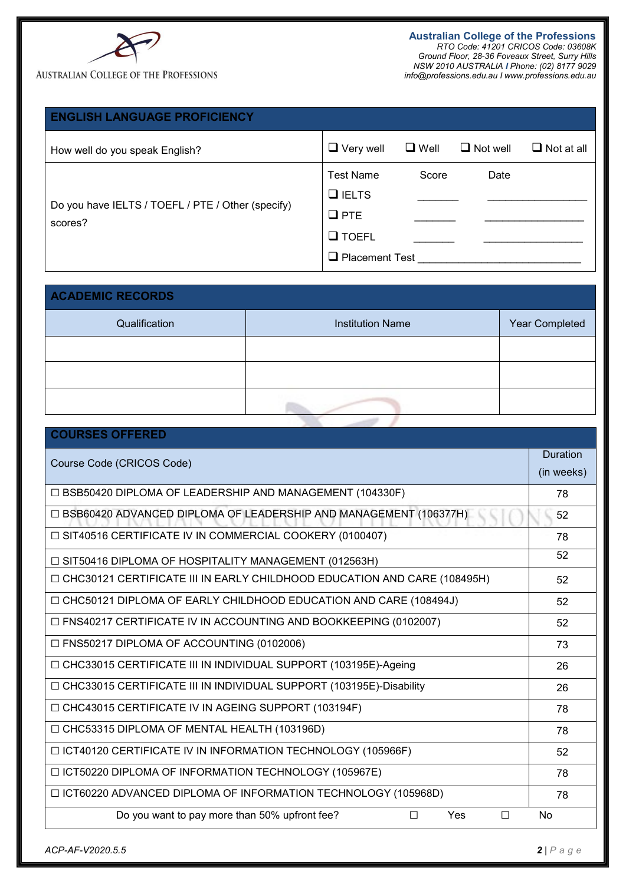

#### **AUSTRALIAN COLLEGE OF THE PROFESSIONS**

**Australian College of the Professions** *RTO Code: 41201 CRICOS Code: 03608K Ground Floor, 28-36 Foveaux Street, Surry Hills NSW 2010 AUSTRALIA I Phone: (02) 8177 9029 [info@professions.edu.au](mailto:info@professions.edu.au) I [www.professions.edu.au](http://www.professions.edu.au/)*

| <b>ENGLISH LANGUAGE PROFICIENCY</b>                          |                                  |             |                 |                   |
|--------------------------------------------------------------|----------------------------------|-------------|-----------------|-------------------|
| How well do you speak English?                               | $\Box$ Very well                 | $\Box$ Well | $\Box$ Not well | $\Box$ Not at all |
|                                                              | <b>Test Name</b><br>$\Box$ IELTS | Score       | Date            |                   |
| Do you have IELTS / TOEFL / PTE / Other (specify)<br>scores? | $Q$ PTE                          |             |                 |                   |
|                                                              | <b>Q</b> TOEFL                   |             |                 |                   |
|                                                              | <b>Placement Test</b><br>ا اے،   |             |                 |                   |

| <b>ACADEMIC RECORDS</b> |                         |                |  |  |  |
|-------------------------|-------------------------|----------------|--|--|--|
| Qualification           | <b>Institution Name</b> | Year Completed |  |  |  |
|                         |                         |                |  |  |  |
|                         |                         |                |  |  |  |
|                         |                         |                |  |  |  |

| <b>COURSES OFFERED</b>                                                   |                        |
|--------------------------------------------------------------------------|------------------------|
| Course Code (CRICOS Code)                                                | Duration<br>(in weeks) |
| □ BSB50420 DIPLOMA OF LEADERSHIP AND MANAGEMENT (104330F)                | 78                     |
| □ BSB60420 ADVANCED DIPLOMA OF LEADERSHIP AND MANAGEMENT (106377H)       | 52                     |
| □ SIT40516 CERTIFICATE IV IN COMMERCIAL COOKERY (0100407)                | 78                     |
| $\Box$ SIT50416 DIPLOMA OF HOSPITALITY MANAGEMENT (012563H)              | 52                     |
| CHC30121 CERTIFICATE III IN EARLY CHILDHOOD EDUCATION AND CARE (108495H) | 52                     |
| □ CHC50121 DIPLOMA OF EARLY CHILDHOOD EDUCATION AND CARE (108494J)       | 52                     |
| □ FNS40217 CERTIFICATE IV IN ACCOUNTING AND BOOKKEEPING (0102007)        | 52                     |
| □ FNS50217 DIPLOMA OF ACCOUNTING (0102006)                               | 73                     |
| □ CHC33015 CERTIFICATE III IN INDIVIDUAL SUPPORT (103195E)-Ageing        | 26                     |
| □ CHC33015 CERTIFICATE III IN INDIVIDUAL SUPPORT (103195E)-Disability    | 26                     |
| □ CHC43015 CERTIFICATE IV IN AGEING SUPPORT (103194F)                    | 78                     |
| □ CHC53315 DIPLOMA OF MENTAL HEALTH (103196D)                            | 78                     |
| □ ICT40120 CERTIFICATE IV IN INFORMATION TECHNOLOGY (105966F)            | 52                     |
| □ ICT50220 DIPLOMA OF INFORMATION TECHNOLOGY (105967E)                   | 78                     |
| □ ICT60220 ADVANCED DIPLOMA OF INFORMATION TECHNOLOGY (105968D)          | 78                     |
| Do you want to pay more than 50% upfront fee?<br>Yes<br>П<br>$\Box$      | No                     |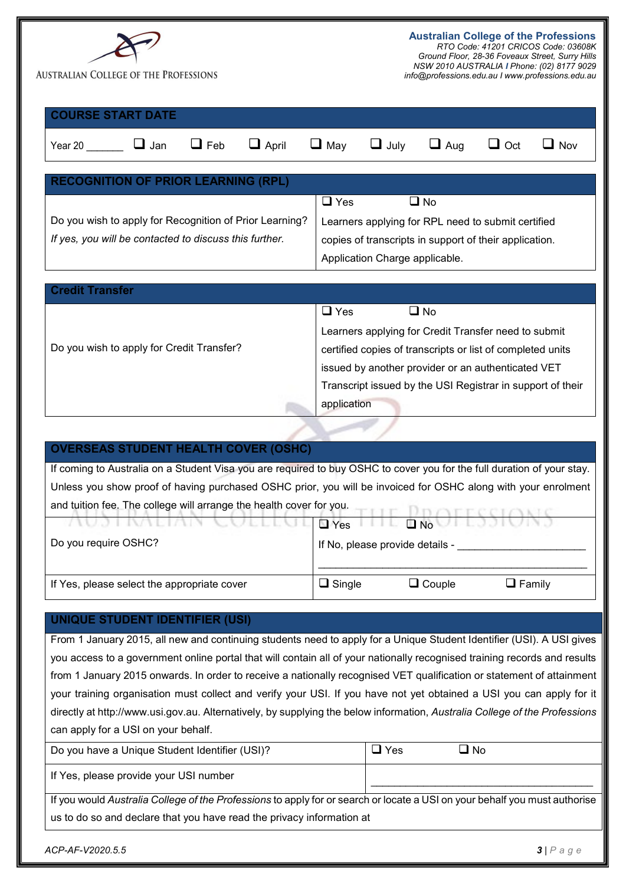| <b>COURSE START DATE</b><br>$\Box$ Feb<br>$\Box$ April<br>$\Box$ May<br>$\Box$ July<br>$\Box$ Oct<br>$\Box$ Jan<br>$\Box$ Aug<br>Year 20<br>Nov<br><b>RECOGNITION OF PRIOR LEARNING (RPL)</b><br>$\square$ Yes<br>$\square$ No<br>Do you wish to apply for Recognition of Prior Learning?<br>Learners applying for RPL need to submit certified<br>If yes, you will be contacted to discuss this further.<br>copies of transcripts in support of their application.<br>Application Charge applicable.<br><b>Credit Transfer</b><br>$\Box$ Yes<br>$\Box$ No<br>Learners applying for Credit Transfer need to submit<br>Do you wish to apply for Credit Transfer?<br>certified copies of transcripts or list of completed units<br>issued by another provider or an authenticated VET<br>Transcript issued by the USI Registrar in support of their<br>application | <b>AUSTRALIAN COLLEGE OF THE PROFESSIONS</b> | <b>Australian College of the Professions</b><br>RTO Code: 41201 CRICOS Code: 03608K<br>Ground Floor, 28-36 Foveaux Street, Surry Hills<br>NSW 2010 AUSTRALIA I Phone: (02) 8177 9029<br>info@professions.edu.au I www.professions.edu.au |  |
|------------------------------------------------------------------------------------------------------------------------------------------------------------------------------------------------------------------------------------------------------------------------------------------------------------------------------------------------------------------------------------------------------------------------------------------------------------------------------------------------------------------------------------------------------------------------------------------------------------------------------------------------------------------------------------------------------------------------------------------------------------------------------------------------------------------------------------------------------------------|----------------------------------------------|------------------------------------------------------------------------------------------------------------------------------------------------------------------------------------------------------------------------------------------|--|
|                                                                                                                                                                                                                                                                                                                                                                                                                                                                                                                                                                                                                                                                                                                                                                                                                                                                  |                                              |                                                                                                                                                                                                                                          |  |
|                                                                                                                                                                                                                                                                                                                                                                                                                                                                                                                                                                                                                                                                                                                                                                                                                                                                  |                                              |                                                                                                                                                                                                                                          |  |
|                                                                                                                                                                                                                                                                                                                                                                                                                                                                                                                                                                                                                                                                                                                                                                                                                                                                  |                                              |                                                                                                                                                                                                                                          |  |
|                                                                                                                                                                                                                                                                                                                                                                                                                                                                                                                                                                                                                                                                                                                                                                                                                                                                  |                                              |                                                                                                                                                                                                                                          |  |
|                                                                                                                                                                                                                                                                                                                                                                                                                                                                                                                                                                                                                                                                                                                                                                                                                                                                  |                                              |                                                                                                                                                                                                                                          |  |
|                                                                                                                                                                                                                                                                                                                                                                                                                                                                                                                                                                                                                                                                                                                                                                                                                                                                  |                                              |                                                                                                                                                                                                                                          |  |

#### **OVERSEAS STUDENT HEALTH COVER (OSHC)**

If coming to Australia on a Student Visa you are required to buy OSHC to cover you for the full duration of your stay. Unless you show proof of having purchased OSHC prior, you will be invoiced for OSHC along with your enrolment and tuition fee. The college will arrange the health cover for you.

| AUSTMALIAN COLLEGERY FILE DINUTESSIONS<br>Do you require OSHC? | If No, please provide details - |                 |               |
|----------------------------------------------------------------|---------------------------------|-----------------|---------------|
|                                                                |                                 |                 |               |
| If Yes, please select the appropriate cover                    | $\Box$ Single                   | $\sqcup$ Couple | $\Box$ Family |

#### **UNIQUE STUDENT IDENTIFIER (USI)**

From 1 January 2015, all new and continuing students need to apply for a Unique Student Identifier (USI). A USI gives you access to a government online portal that will contain all of your nationally recognised training records and results from 1 January 2015 onwards. In order to receive a nationally recognised VET qualification or statement of attainment your training organisation must collect and verify your USI. If you have not yet obtained a USI you can apply for it directly at http://www.usi.gov.au. Alternatively, by supplying the below information, *Australia College of the Professions* can apply for a USI on your behalf.

| Do you have a Unique Student Identifier (USI)? | 'Yes | No L |
|------------------------------------------------|------|------|
| If Yes, please provide your USI number         |      |      |

If you would *Australia College of the Professions* to apply for or search or locate a USI on your behalf you must authorise us to do so and declare that you have read the privacy information at

*ACP-AF-V2020.5.5 3 | Page*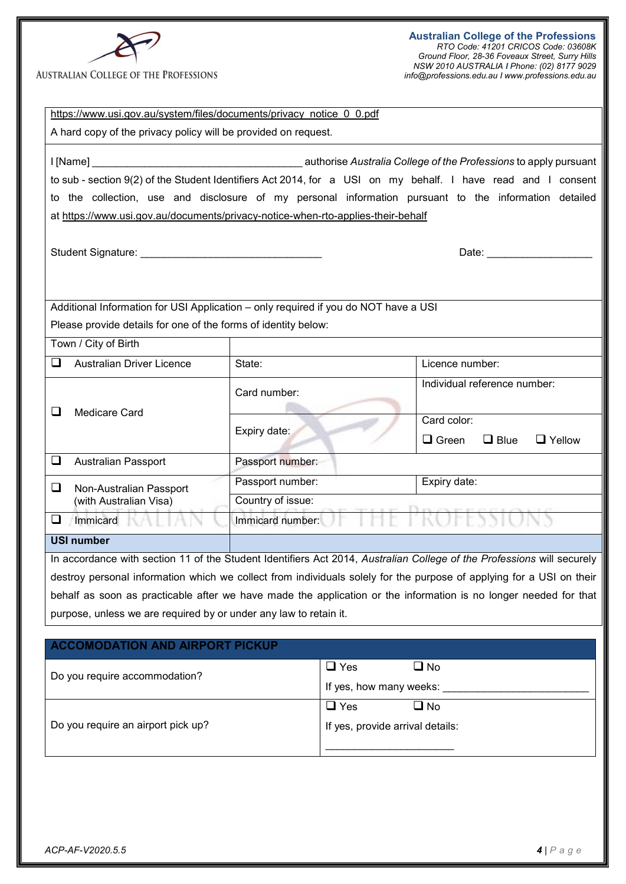

#### **AUSTRALIAN COLLEGE OF THE PROFESSIONS**

**Australian College of the Professions** *RTO Code: 41201 CRICOS Code: 03608K Ground Floor, 28-36 Foveaux Street, Surry Hills NSW 2010 AUSTRALIA I Phone: (02) 8177 9029 [info@professions.edu.au](mailto:info@professions.edu.au) I [www.professions.edu.au](http://www.professions.edu.au/)*

| https://www.usi.gov.au/system/files/documents/privacy notice 0 0.pdf<br>A hard copy of the privacy policy will be provided on request. |                   |                                  |                                                                                                                                                                                                                                |
|----------------------------------------------------------------------------------------------------------------------------------------|-------------------|----------------------------------|--------------------------------------------------------------------------------------------------------------------------------------------------------------------------------------------------------------------------------|
|                                                                                                                                        |                   |                                  |                                                                                                                                                                                                                                |
|                                                                                                                                        |                   |                                  |                                                                                                                                                                                                                                |
|                                                                                                                                        |                   |                                  | to sub - section 9(2) of the Student Identifiers Act 2014, for a USI on my behalf. I have read and I consent                                                                                                                   |
|                                                                                                                                        |                   |                                  | to the collection, use and disclosure of my personal information pursuant to the information detailed                                                                                                                          |
| at https://www.usi.gov.au/documents/privacy-notice-when-rto-applies-their-behalf                                                       |                   |                                  |                                                                                                                                                                                                                                |
|                                                                                                                                        |                   |                                  |                                                                                                                                                                                                                                |
|                                                                                                                                        |                   |                                  | Date: the contract of the contract of the contract of the contract of the contract of the contract of the contract of the contract of the contract of the contract of the contract of the contract of the contract of the cont |
|                                                                                                                                        |                   |                                  |                                                                                                                                                                                                                                |
|                                                                                                                                        |                   |                                  |                                                                                                                                                                                                                                |
| Additional Information for USI Application - only required if you do NOT have a USI                                                    |                   |                                  |                                                                                                                                                                                                                                |
| Please provide details for one of the forms of identity below:                                                                         |                   |                                  |                                                                                                                                                                                                                                |
| Town / City of Birth                                                                                                                   |                   |                                  |                                                                                                                                                                                                                                |
| <b>Australian Driver Licence</b><br>$\Box$                                                                                             | State:            |                                  | Licence number:                                                                                                                                                                                                                |
|                                                                                                                                        | Card number:      |                                  | Individual reference number:                                                                                                                                                                                                   |
|                                                                                                                                        |                   |                                  |                                                                                                                                                                                                                                |
| <b>Medicare Card</b>                                                                                                                   |                   |                                  | Card color:                                                                                                                                                                                                                    |
|                                                                                                                                        | Expiry date:      |                                  | $\Box$ Green<br>$\Box$ Blue<br>$\Box$ Yellow                                                                                                                                                                                   |
| ❏<br><b>Australian Passport</b>                                                                                                        | Passport number:  |                                  |                                                                                                                                                                                                                                |
| ❏<br>Non-Australian Passport                                                                                                           | Passport number:  |                                  | Expiry date:                                                                                                                                                                                                                   |
| (with Australian Visa)                                                                                                                 | Country of issue: |                                  |                                                                                                                                                                                                                                |
| ❏<br>Immicard                                                                                                                          | Immicard number:  |                                  |                                                                                                                                                                                                                                |
| <b>USI number</b>                                                                                                                      |                   |                                  |                                                                                                                                                                                                                                |
|                                                                                                                                        |                   |                                  | In accordance with section 11 of the Student Identifiers Act 2014, Australian College of the Professions will securely                                                                                                         |
|                                                                                                                                        |                   |                                  | destroy personal information which we collect from individuals solely for the purpose of applying for a USI on their                                                                                                           |
|                                                                                                                                        |                   |                                  | behalf as soon as practicable after we have made the application or the information is no longer needed for that                                                                                                               |
| purpose, unless we are required by or under any law to retain it.                                                                      |                   |                                  |                                                                                                                                                                                                                                |
|                                                                                                                                        |                   |                                  |                                                                                                                                                                                                                                |
| <b>ACCOMODATION AND AIRPORT PICKUP</b>                                                                                                 |                   |                                  |                                                                                                                                                                                                                                |
| Do you require accommodation?                                                                                                          |                   | $\Box$ Yes                       | $\square$ No                                                                                                                                                                                                                   |
|                                                                                                                                        |                   | If yes, how many weeks:          |                                                                                                                                                                                                                                |
|                                                                                                                                        |                   | $\Box$ Yes                       | $\square$ No                                                                                                                                                                                                                   |
| Do you require an airport pick up?                                                                                                     |                   | If yes, provide arrival details: |                                                                                                                                                                                                                                |
|                                                                                                                                        |                   |                                  |                                                                                                                                                                                                                                |
|                                                                                                                                        |                   |                                  |                                                                                                                                                                                                                                |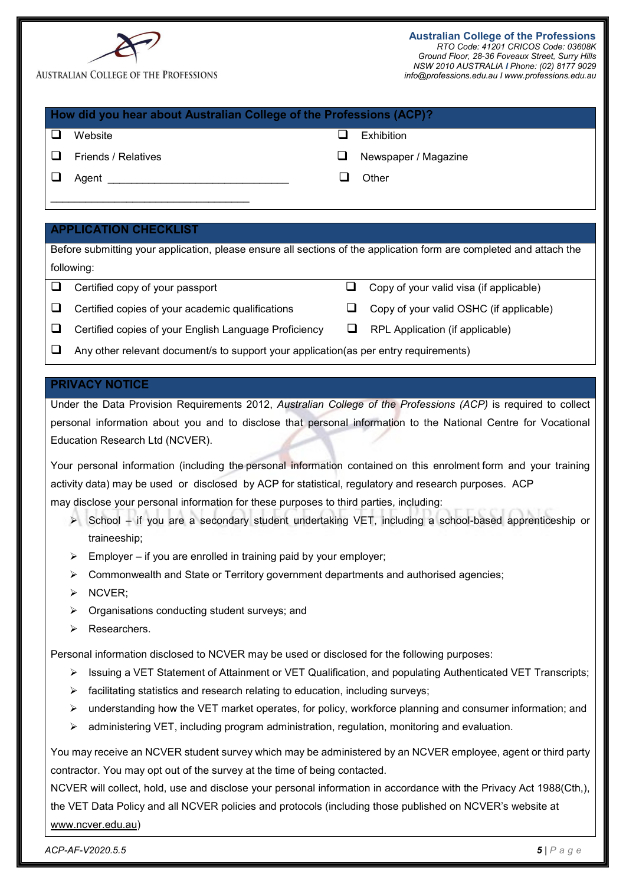|                                                                                                                  | <b>AUSTRALIAN COLLEGE OF THE PROFESSIONS</b>                                                                                                                                                                    |   | <b>Australian College of the Professions</b><br>RTO Code: 41201 CRICOS Code: 03608K<br>Ground Floor, 28-36 Foveaux Street, Surry Hills<br>NSW 2010 AUSTRALIA I Phone: (02) 8177 9029<br>info@professions.edu.au I www.professions.edu.au |
|------------------------------------------------------------------------------------------------------------------|-----------------------------------------------------------------------------------------------------------------------------------------------------------------------------------------------------------------|---|------------------------------------------------------------------------------------------------------------------------------------------------------------------------------------------------------------------------------------------|
|                                                                                                                  | How did you hear about Australian College of the Professions (ACP)?                                                                                                                                             |   |                                                                                                                                                                                                                                          |
| ❏                                                                                                                | Website                                                                                                                                                                                                         | ப | Exhibition                                                                                                                                                                                                                               |
| ⊔                                                                                                                | Friends / Relatives                                                                                                                                                                                             | ⊔ | Newspaper / Magazine                                                                                                                                                                                                                     |
| ❏                                                                                                                | Agent <b>Agent</b>                                                                                                                                                                                              | ப | Other                                                                                                                                                                                                                                    |
|                                                                                                                  |                                                                                                                                                                                                                 |   |                                                                                                                                                                                                                                          |
|                                                                                                                  | <b>APPLICATION CHECKLIST</b>                                                                                                                                                                                    |   |                                                                                                                                                                                                                                          |
|                                                                                                                  | Before submitting your application, please ensure all sections of the application form are completed and attach the                                                                                             |   |                                                                                                                                                                                                                                          |
|                                                                                                                  | following:                                                                                                                                                                                                      |   |                                                                                                                                                                                                                                          |
| ❏                                                                                                                | Certified copy of your passport                                                                                                                                                                                 | ❏ | Copy of your valid visa (if applicable)                                                                                                                                                                                                  |
| ❏                                                                                                                | Certified copies of your academic qualifications                                                                                                                                                                | ⊔ | Copy of your valid OSHC (if applicable)                                                                                                                                                                                                  |
| ⊔                                                                                                                | Certified copies of your English Language Proficiency                                                                                                                                                           | ⊔ | RPL Application (if applicable)                                                                                                                                                                                                          |
| ⊔                                                                                                                | Any other relevant document/s to support your application(as per entry requirements)                                                                                                                            |   |                                                                                                                                                                                                                                          |
|                                                                                                                  | <b>PRIVACY NOTICE</b>                                                                                                                                                                                           |   |                                                                                                                                                                                                                                          |
|                                                                                                                  | Under the Data Provision Requirements 2012, Australian College of the Professions (ACP) is required to collect                                                                                                  |   |                                                                                                                                                                                                                                          |
|                                                                                                                  | personal information about you and to disclose that personal information to the National Centre for Vocational                                                                                                  |   |                                                                                                                                                                                                                                          |
|                                                                                                                  | Education Research Ltd (NCVER).                                                                                                                                                                                 |   |                                                                                                                                                                                                                                          |
| Your personal information (including the personal information contained on this enrolment form and your training |                                                                                                                                                                                                                 |   |                                                                                                                                                                                                                                          |
|                                                                                                                  | activity data) may be used or disclosed by ACP for statistical, regulatory and research purposes. ACP                                                                                                           |   |                                                                                                                                                                                                                                          |
|                                                                                                                  | may disclose your personal information for these purposes to third parties, including:<br>> School - if you are a secondary student undertaking VET, including a school-based apprenticeship or<br>traineeship; |   |                                                                                                                                                                                                                                          |
|                                                                                                                  | Employer – if you are enrolled in training paid by your employer;<br>➤                                                                                                                                          |   |                                                                                                                                                                                                                                          |
|                                                                                                                  | Commonwealth and State or Territory government departments and authorised agencies;<br>➤                                                                                                                        |   |                                                                                                                                                                                                                                          |
|                                                                                                                  | NCVER;<br>➤                                                                                                                                                                                                     |   |                                                                                                                                                                                                                                          |
|                                                                                                                  | Organisations conducting student surveys; and<br>➤                                                                                                                                                              |   |                                                                                                                                                                                                                                          |
|                                                                                                                  | Researchers.<br>➤                                                                                                                                                                                               |   |                                                                                                                                                                                                                                          |
|                                                                                                                  | Personal information disclosed to NCVER may be used or disclosed for the following purposes:                                                                                                                    |   |                                                                                                                                                                                                                                          |
|                                                                                                                  | Issuing a VET Statement of Attainment or VET Qualification, and populating Authenticated VET Transcripts;<br>➤                                                                                                  |   |                                                                                                                                                                                                                                          |
|                                                                                                                  | facilitating statistics and research relating to education, including surveys;<br>➤                                                                                                                             |   |                                                                                                                                                                                                                                          |
|                                                                                                                  | understanding how the VET market operates, for policy, workforce planning and consumer information; and<br>➤                                                                                                    |   |                                                                                                                                                                                                                                          |
|                                                                                                                  | administering VET, including program administration, regulation, monitoring and evaluation.<br>➤                                                                                                                |   |                                                                                                                                                                                                                                          |
|                                                                                                                  | You may receive an NCVER student survey which may be administered by an NCVER employee, agent or third party                                                                                                    |   |                                                                                                                                                                                                                                          |
|                                                                                                                  | contractor. You may opt out of the survey at the time of being contacted.                                                                                                                                       |   |                                                                                                                                                                                                                                          |
|                                                                                                                  | NCVER will collect, hold, use and disclose your personal information in accordance with the Privacy Act 1988(Cth,),                                                                                             |   |                                                                                                                                                                                                                                          |
|                                                                                                                  | the VET Data Policy and all NCVER policies and protocols (including those published on NCVER's website at                                                                                                       |   |                                                                                                                                                                                                                                          |
|                                                                                                                  | www.ncver.edu.au)                                                                                                                                                                                               |   |                                                                                                                                                                                                                                          |